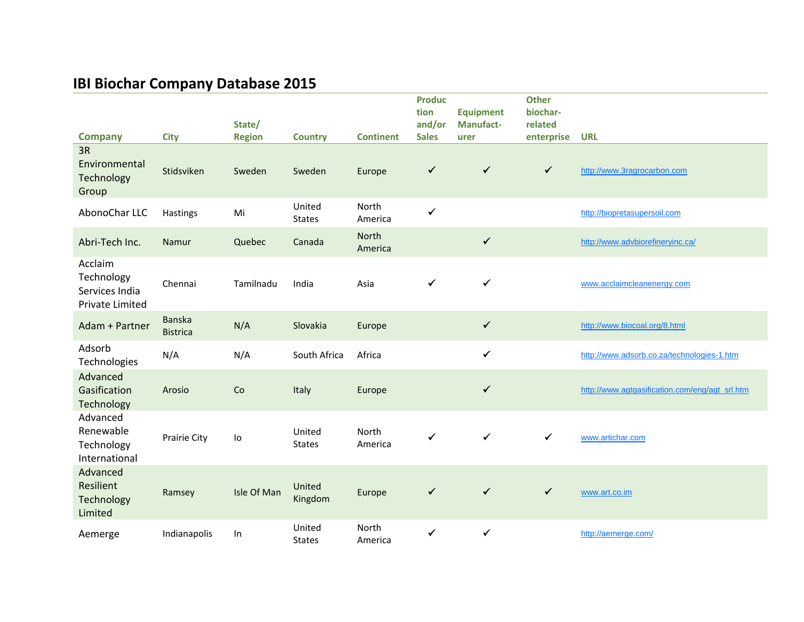## **IBI Biochar Company Database 2015**

| <b>Company</b>                                             | <b>City</b>               | State/<br><b>Region</b> | <b>Country</b>           | <b>Continent</b> | <b>Produc</b><br>tion<br>and/or<br><b>Sales</b> | <b>Equipment</b><br><b>Manufact-</b><br>urer | <b>Other</b><br>biochar-<br>related<br>enterprise | <b>URL</b>                                     |
|------------------------------------------------------------|---------------------------|-------------------------|--------------------------|------------------|-------------------------------------------------|----------------------------------------------|---------------------------------------------------|------------------------------------------------|
| 3R<br>Environmental<br>Technology<br>Group                 | Stidsviken                | Sweden                  | Sweden                   | Europe           | ✓                                               | $\checkmark$                                 | $\checkmark$                                      | http://www.3ragrocarbon.com                    |
| AbonoChar LLC                                              | Hastings                  | Mi                      | United<br><b>States</b>  | North<br>America | $\checkmark$                                    |                                              |                                                   | http://biopretasupersoil.com                   |
| Abri-Tech Inc.                                             | Namur                     | Quebec                  | Canada                   | North<br>America |                                                 | $\checkmark$                                 |                                                   | http://www.advbiorefineryinc.ca/               |
| Acclaim<br>Technology<br>Services India<br>Private Limited | Chennai                   | Tamilnadu               | India                    | Asia             | ✓                                               | $\checkmark$                                 |                                                   | www.acclaimcleanenergy.com                     |
| Adam + Partner                                             | Banska<br><b>Bistrica</b> | N/A                     | Slovakia                 | Europe           |                                                 | $\checkmark$                                 |                                                   | http://www.biocoal.org/8.html                  |
| Adsorb<br>Technologies                                     | N/A                       | N/A                     | South Africa             | Africa           |                                                 | $\checkmark$                                 |                                                   | http://www.adsorb.co.za/technologies-1.htm     |
| Advanced<br>Gasification<br>Technology                     | Arosio                    | Co                      | Italy                    | Europe           |                                                 | $\checkmark$                                 |                                                   | http://www.agtgasification.com/eng/agt_srl.htm |
| Advanced<br>Renewable<br>Technology<br>International       | Prairie City              | lo                      | United<br><b>States</b>  | North<br>America | ✓                                               | $\checkmark$                                 | $\checkmark$                                      | www.artichar.com                               |
| Advanced<br>Resilient<br>Technology<br>Limited             | Ramsey                    | Isle Of Man             | <b>United</b><br>Kingdom | Europe           | ✓                                               | $\checkmark$                                 | $\checkmark$                                      | www.art.co.im                                  |
| Aemerge                                                    | Indianapolis              | $\ln$                   | United<br><b>States</b>  | North<br>America | $\checkmark$                                    | $\checkmark$                                 |                                                   | http://aemerge.com/                            |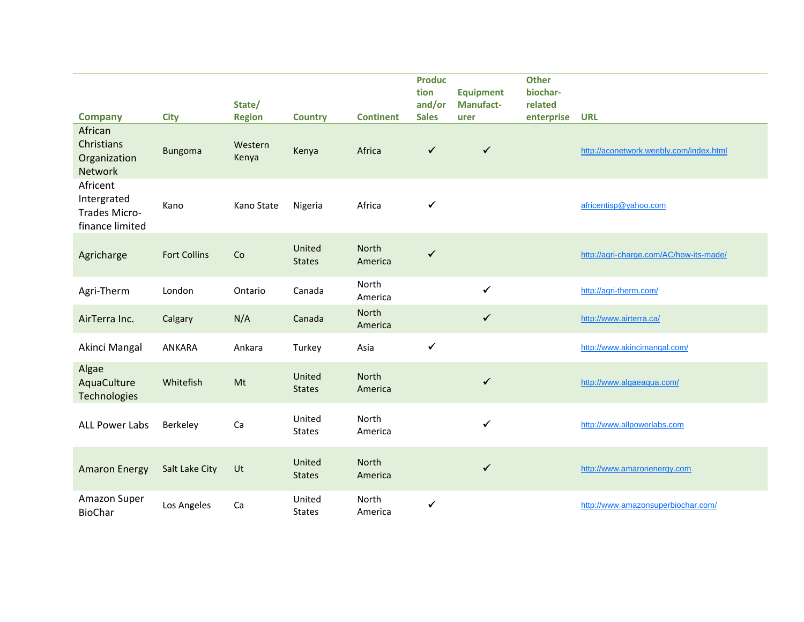| <b>Company</b>                                                 | <b>City</b>         | State/<br><b>Region</b> | <b>Country</b>          | <b>Continent</b>        | <b>Produc</b><br>tion<br>and/or<br><b>Sales</b> | <b>Equipment</b><br><b>Manufact-</b><br>urer | <b>Other</b><br>biochar-<br>related<br>enterprise | <b>URL</b>                              |
|----------------------------------------------------------------|---------------------|-------------------------|-------------------------|-------------------------|-------------------------------------------------|----------------------------------------------|---------------------------------------------------|-----------------------------------------|
| African<br><b>Christians</b><br>Organization<br><b>Network</b> | Bungoma             | Western<br>Kenya        | Kenya                   | Africa                  | $\checkmark$                                    | $\checkmark$                                 |                                                   | http://aconetwork.weebly.com/index.html |
| Africent<br>Intergrated<br>Trades Micro-<br>finance limited    | Kano                | Kano State              | Nigeria                 | Africa                  | ✓                                               |                                              |                                                   | africentisp@yahoo.com                   |
| Agricharge                                                     | <b>Fort Collins</b> | Co                      | United<br><b>States</b> | North<br>America        | $\checkmark$                                    |                                              |                                                   | http://agri-charge.com/AC/how-its-made/ |
| Agri-Therm                                                     | London              | Ontario                 | Canada                  | North<br>America        |                                                 | $\checkmark$                                 |                                                   | http://agri-therm.com/                  |
| AirTerra Inc.                                                  | Calgary             | N/A                     | Canada                  | <b>North</b><br>America |                                                 | $\checkmark$                                 |                                                   | http://www.airterra.ca/                 |
| Akinci Mangal                                                  | ANKARA              | Ankara                  | Turkey                  | Asia                    | $\checkmark$                                    |                                              |                                                   | http://www.akincimangal.com/            |
| Algae<br>AquaCulture<br>Technologies                           | Whitefish           | Mt                      | United<br><b>States</b> | North<br>America        |                                                 | $\checkmark$                                 |                                                   | http://www.algaeaqua.com/               |
| <b>ALL Power Labs</b>                                          | Berkeley            | Ca                      | United<br><b>States</b> | North<br>America        |                                                 | ✓                                            |                                                   | http://www.allpowerlabs.com             |
| <b>Amaron Energy</b>                                           | Salt Lake City      | Ut                      | United<br><b>States</b> | North<br>America        |                                                 | $\checkmark$                                 |                                                   | http://www.amaronenergy.com             |
| Amazon Super<br><b>BioChar</b>                                 | Los Angeles         | Ca                      | United<br><b>States</b> | North<br>America        | $\checkmark$                                    |                                              |                                                   | http://www.amazonsuperbiochar.com/      |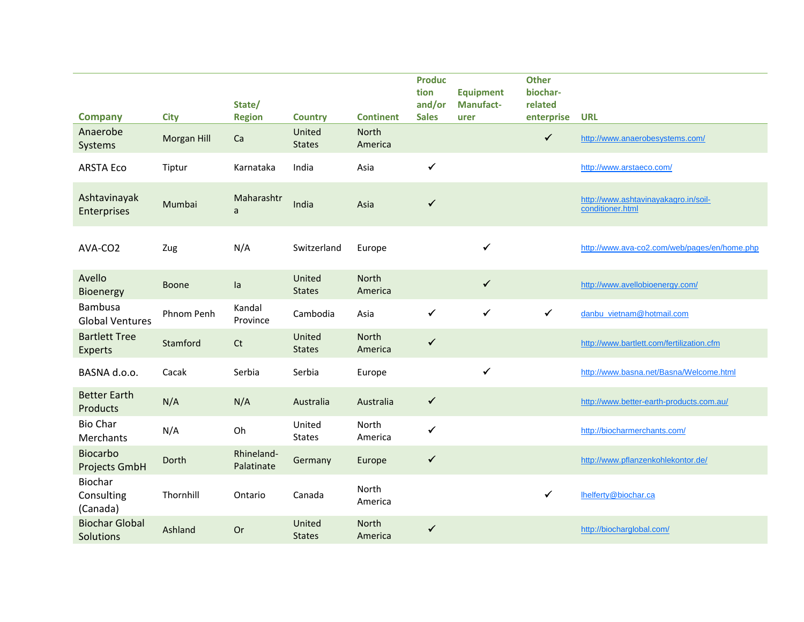| <b>Company</b>                           | <b>City</b>        | State/<br><b>Region</b>  | <b>Country</b>          | <b>Continent</b>        | <b>Produc</b><br>tion<br>and/or<br><b>Sales</b> | <b>Equipment</b><br><b>Manufact-</b><br>urer | <b>Other</b><br>biochar-<br>related<br>enterprise | <b>URL</b>                                               |
|------------------------------------------|--------------------|--------------------------|-------------------------|-------------------------|-------------------------------------------------|----------------------------------------------|---------------------------------------------------|----------------------------------------------------------|
| Anaerobe<br>Systems                      | <b>Morgan Hill</b> | Ca                       | United<br><b>States</b> | <b>North</b><br>America |                                                 |                                              | $\checkmark$                                      | http://www.anaerobesystems.com/                          |
| <b>ARSTA Eco</b>                         | Tiptur             | Karnataka                | India                   | Asia                    | $\checkmark$                                    |                                              |                                                   | http://www.arstaeco.com/                                 |
| Ashtavinayak<br>Enterprises              | Mumbai             | Maharashtr<br>a          | India                   | Asia                    | $\checkmark$                                    |                                              |                                                   | http://www.ashtavinayakagro.in/soil-<br>conditioner.html |
| AVA-CO2                                  | Zug                | N/A                      | Switzerland             | Europe                  |                                                 | ✓                                            |                                                   | http://www.ava-co2.com/web/pages/en/home.php             |
| Avello<br>Bioenergy                      | <b>Boone</b>       | la                       | United<br><b>States</b> | North<br>America        |                                                 | $\checkmark$                                 |                                                   | http://www.avellobioenergy.com/                          |
| <b>Bambusa</b><br><b>Global Ventures</b> | Phnom Penh         | Kandal<br>Province       | Cambodia                | Asia                    | $\checkmark$                                    | $\checkmark$                                 | $\checkmark$                                      | danbu_vietnam@hotmail.com                                |
| <b>Bartlett Tree</b><br><b>Experts</b>   | Stamford           | C <sub>t</sub>           | United<br><b>States</b> | <b>North</b><br>America | $\checkmark$                                    |                                              |                                                   | http://www.bartlett.com/fertilization.cfm                |
| BASNA d.o.o.                             | Cacak              | Serbia                   | Serbia                  | Europe                  |                                                 | $\checkmark$                                 |                                                   | http://www.basna.net/Basna/Welcome.html                  |
| <b>Better Earth</b><br>Products          | N/A                | N/A                      | Australia               | Australia               | $\checkmark$                                    |                                              |                                                   | http://www.better-earth-products.com.au/                 |
| <b>Bio Char</b><br>Merchants             | N/A                | Oh                       | United<br><b>States</b> | North<br>America        | $\checkmark$                                    |                                              |                                                   | http://biocharmerchants.com/                             |
| <b>Biocarbo</b><br>Projects GmbH         | Dorth              | Rhineland-<br>Palatinate | Germany                 | Europe                  | $\checkmark$                                    |                                              |                                                   | http://www.pflanzenkohlekontor.de/                       |
| Biochar<br>Consulting<br>(Canada)        | Thornhill          | Ontario                  | Canada                  | North<br>America        |                                                 |                                              | $\checkmark$                                      | lhelferty@biochar.ca                                     |
| <b>Biochar Global</b><br>Solutions       | Ashland            | Or                       | United<br><b>States</b> | North<br>America        | $\checkmark$                                    |                                              |                                                   | http://biocharglobal.com/                                |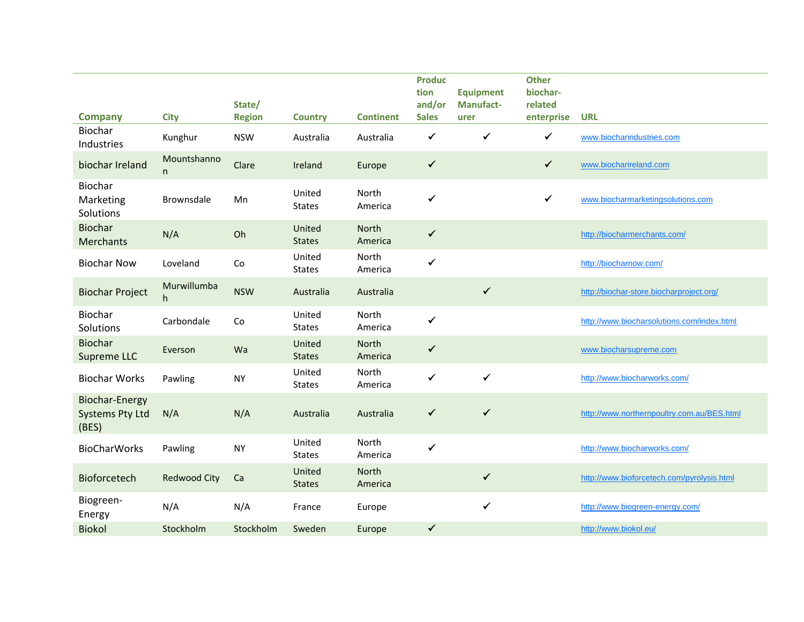| <b>Company</b>                                           | <b>City</b>         | State/<br><b>Region</b> | <b>Country</b>          | <b>Continent</b>        | <b>Produc</b><br>tion<br>and/or<br><b>Sales</b> | <b>Equipment</b><br><b>Manufact-</b><br>urer | <b>Other</b><br>biochar-<br>related<br>enterprise | <b>URL</b>                                 |
|----------------------------------------------------------|---------------------|-------------------------|-------------------------|-------------------------|-------------------------------------------------|----------------------------------------------|---------------------------------------------------|--------------------------------------------|
| Biochar<br>Industries                                    | Kunghur             | <b>NSW</b>              | Australia               | Australia               | $\checkmark$                                    | $\checkmark$                                 | $\checkmark$                                      | www.biocharindustries.com                  |
| biochar Ireland                                          | Mountshanno<br>n    | Clare                   | Ireland                 | Europe                  | $\checkmark$                                    |                                              | $\checkmark$                                      | www.biocharireland.com                     |
| Biochar<br>Marketing<br>Solutions                        | Brownsdale          | Mn                      | United<br><b>States</b> | North<br>America        | $\checkmark$                                    |                                              | $\checkmark$                                      | www.biocharmarketingsolutions.com          |
| <b>Biochar</b><br><b>Merchants</b>                       | N/A                 | Oh                      | United<br><b>States</b> | North<br>America        | $\checkmark$                                    |                                              |                                                   | http://biocharmerchants.com/               |
| <b>Biochar Now</b>                                       | Loveland            | Co                      | United<br><b>States</b> | North<br>America        | $\checkmark$                                    |                                              |                                                   | http://biocharnow.com/                     |
| <b>Biochar Project</b>                                   | Murwillumba<br>h.   | <b>NSW</b>              | Australia               | Australia               |                                                 | $\checkmark$                                 |                                                   | http://biochar-store.biocharproject.org/   |
| Biochar<br>Solutions                                     | Carbondale          | Co                      | United<br><b>States</b> | North<br>America        | ✔                                               |                                              |                                                   | http://www.biocharsolutions.com/index.html |
| <b>Biochar</b><br>Supreme LLC                            | Everson             | Wa                      | United<br><b>States</b> | North<br>America        | $\checkmark$                                    |                                              |                                                   | www.biocharsupreme.com                     |
| <b>Biochar Works</b>                                     | Pawling             | <b>NY</b>               | United<br><b>States</b> | North<br>America        | ✓                                               | $\checkmark$                                 |                                                   | http://www.biocharworks.com/               |
| <b>Biochar-Energy</b><br><b>Systems Pty Ltd</b><br>(BES) | N/A                 | N/A                     | Australia               | Australia               | $\checkmark$                                    | $\checkmark$                                 |                                                   | http://www.northernpoultry.com.au/BES.html |
| <b>BioCharWorks</b>                                      | Pawling             | <b>NY</b>               | United<br><b>States</b> | North<br>America        | $\checkmark$                                    |                                              |                                                   | http://www.biocharworks.com/               |
| Bioforcetech                                             | <b>Redwood City</b> | Ca                      | United<br><b>States</b> | <b>North</b><br>America |                                                 | $\checkmark$                                 |                                                   | http://www.bioforcetech.com/pyrolysis.html |
| Biogreen-<br>Energy                                      | N/A                 | N/A                     | France                  | Europe                  |                                                 | $\checkmark$                                 |                                                   | http://www.biogreen-energy.com/            |
| <b>Biokol</b>                                            | Stockholm           | Stockholm               | Sweden                  | Europe                  | ✓                                               |                                              |                                                   | http://www.biokol.eu/                      |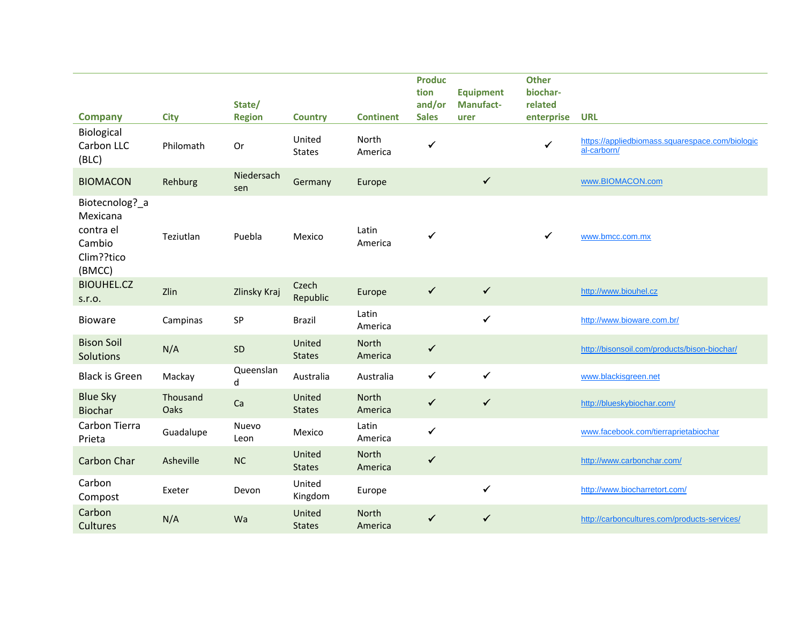| <b>Company</b>                                                            | <b>City</b>      | State/<br><b>Region</b> | <b>Country</b>          | <b>Continent</b> | <b>Produc</b><br>tion<br>and/or<br><b>Sales</b> | <b>Equipment</b><br><b>Manufact-</b><br>urer | <b>Other</b><br>biochar-<br>related<br>enterprise | <b>URL</b>                                                     |
|---------------------------------------------------------------------------|------------------|-------------------------|-------------------------|------------------|-------------------------------------------------|----------------------------------------------|---------------------------------------------------|----------------------------------------------------------------|
| Biological<br>Carbon LLC<br>(BLC)                                         | Philomath        | Or                      | United<br><b>States</b> | North<br>America | ✔                                               |                                              | $\checkmark$                                      | https://appliedbiomass.squarespace.com/biologic<br>al-carborn/ |
| <b>BIOMACON</b>                                                           | Rehburg          | Niedersach<br>sen       | Germany                 | Europe           |                                                 | $\checkmark$                                 |                                                   | www.BIOMACON.com                                               |
| Biotecnolog?_a<br>Mexicana<br>contra el<br>Cambio<br>Clim??tico<br>(BMCC) | Teziutlan        | Puebla                  | Mexico                  | Latin<br>America | ✔                                               |                                              | $\checkmark$                                      | www.bmcc.com.mx                                                |
| <b>BIOUHEL.CZ</b><br>S.T.O.                                               | Zlin             | Zlinsky Kraj            | Czech<br>Republic       | Europe           | $\checkmark$                                    | $\checkmark$                                 |                                                   | http://www.biouhel.cz                                          |
| <b>Bioware</b>                                                            | Campinas         | SP                      | <b>Brazil</b>           | Latin<br>America |                                                 | $\checkmark$                                 |                                                   | http://www.bioware.com.br/                                     |
| <b>Bison Soil</b><br>Solutions                                            | N/A              | SD                      | United<br><b>States</b> | North<br>America | $\checkmark$                                    |                                              |                                                   | http://bisonsoil.com/products/bison-biochar/                   |
| <b>Black is Green</b>                                                     | Mackay           | Queenslan<br>d          | Australia               | Australia        | $\checkmark$                                    | $\checkmark$                                 |                                                   | www.blackisgreen.net                                           |
| <b>Blue Sky</b><br><b>Biochar</b>                                         | Thousand<br>Oaks | Ca                      | United<br><b>States</b> | North<br>America | $\checkmark$                                    | $\checkmark$                                 |                                                   | http://blueskybiochar.com/                                     |
| Carbon Tierra<br>Prieta                                                   | Guadalupe        | Nuevo<br>Leon           | Mexico                  | Latin<br>America | $\checkmark$                                    |                                              |                                                   | www.facebook.com/tierraprietabiochar                           |
| Carbon Char                                                               | Asheville        | NC                      | United<br><b>States</b> | North<br>America | $\checkmark$                                    |                                              |                                                   | http://www.carbonchar.com/                                     |
| Carbon<br>Compost                                                         | Exeter           | Devon                   | United<br>Kingdom       | Europe           |                                                 | $\checkmark$                                 |                                                   | http://www.biocharretort.com/                                  |
| Carbon<br><b>Cultures</b>                                                 | N/A              | Wa                      | United<br><b>States</b> | North<br>America | $\checkmark$                                    | $\checkmark$                                 |                                                   | http://carboncultures.com/products-services/                   |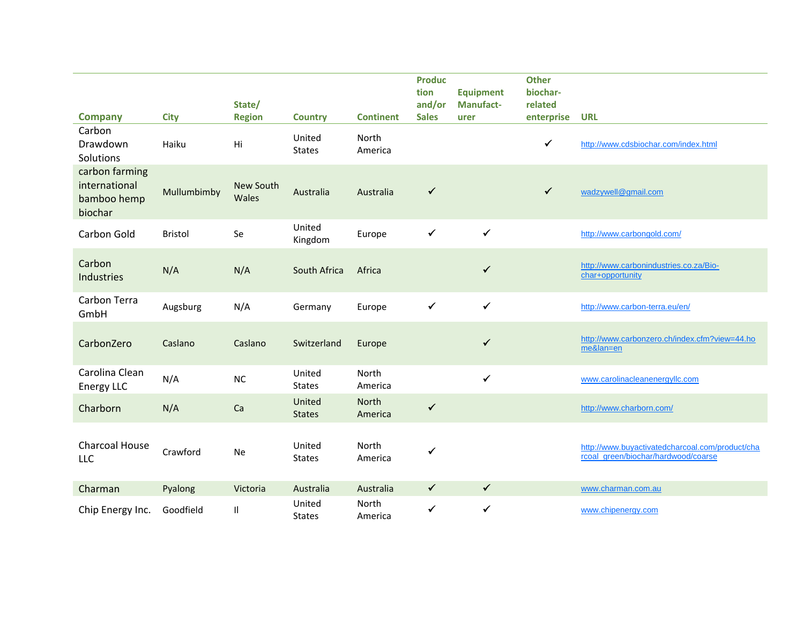| <b>Company</b>                                            | <b>City</b>    | State/<br><b>Region</b> | <b>Country</b>          | <b>Continent</b> | <b>Produc</b><br>tion<br>and/or<br><b>Sales</b> | <b>Equipment</b><br><b>Manufact-</b><br>urer | <b>Other</b><br>biochar-<br>related<br>enterprise | <b>URL</b>                                                                             |
|-----------------------------------------------------------|----------------|-------------------------|-------------------------|------------------|-------------------------------------------------|----------------------------------------------|---------------------------------------------------|----------------------------------------------------------------------------------------|
| Carbon<br>Drawdown<br>Solutions                           | Haiku          | Hi                      | United<br><b>States</b> | North<br>America |                                                 |                                              | ✓                                                 | http://www.cdsbiochar.com/index.html                                                   |
| carbon farming<br>international<br>bamboo hemp<br>biochar | Mullumbimby    | New South<br>Wales      | Australia               | Australia        | $\checkmark$                                    |                                              | $\checkmark$                                      | wadzywell@gmail.com                                                                    |
| Carbon Gold                                               | <b>Bristol</b> | Se                      | United<br>Kingdom       | Europe           | $\checkmark$                                    | $\checkmark$                                 |                                                   | http://www.carbongold.com/                                                             |
| Carbon<br>Industries                                      | N/A            | N/A                     | South Africa            | Africa           |                                                 | $\checkmark$                                 |                                                   | http://www.carbonindustries.co.za/Bio-<br>char+opportunity                             |
| Carbon Terra<br>GmbH                                      | Augsburg       | N/A                     | Germany                 | Europe           | $\checkmark$                                    | $\checkmark$                                 |                                                   | http://www.carbon-terra.eu/en/                                                         |
| CarbonZero                                                | Caslano        | Caslano                 | Switzerland             | Europe           |                                                 | $\checkmark$                                 |                                                   | http://www.carbonzero.ch/index.cfm?view=44.ho<br>me&lan=en                             |
| Carolina Clean<br><b>Energy LLC</b>                       | N/A            | NC                      | United<br><b>States</b> | North<br>America |                                                 | $\checkmark$                                 |                                                   | www.carolinacleanenergyllc.com                                                         |
| Charborn                                                  | N/A            | Ca                      | United<br><b>States</b> | North<br>America | $\checkmark$                                    |                                              |                                                   | http://www.charborn.com/                                                               |
| Charcoal House<br>LLC                                     | Crawford       | Ne                      | United<br><b>States</b> | North<br>America | ✓                                               |                                              |                                                   | http://www.buyactivatedcharcoal.com/product/cha<br>rcoal_green/biochar/hardwood/coarse |
| Charman                                                   | Pyalong        | Victoria                | Australia               | Australia        | $\checkmark$                                    | $\checkmark$                                 |                                                   | www.charman.com.au                                                                     |
| Chip Energy Inc.                                          | Goodfield      | $\mathsf{I}$            | United<br><b>States</b> | North<br>America | $\checkmark$                                    | $\checkmark$                                 |                                                   | www.chipenergy.com                                                                     |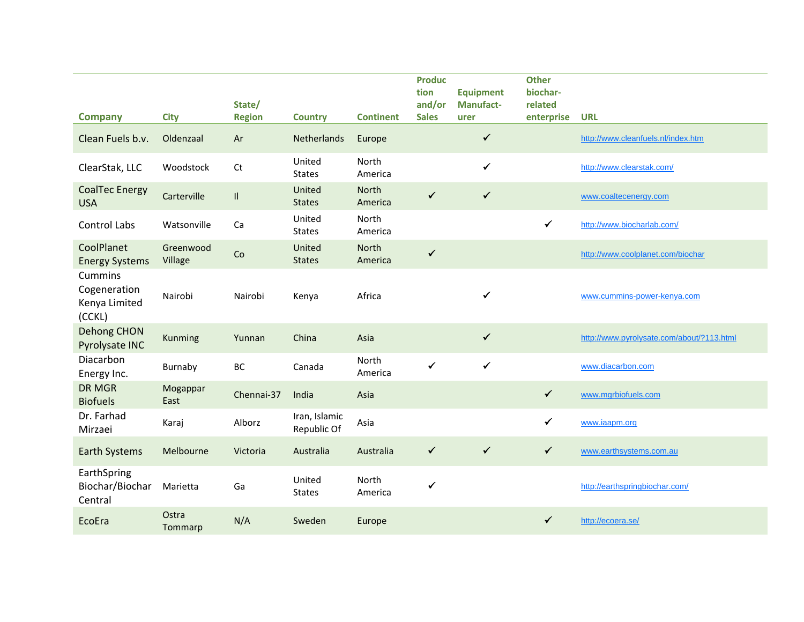| <b>Company</b>                                     | <b>City</b>          | State/<br><b>Region</b>    | <b>Country</b>               | <b>Continent</b> | <b>Produc</b><br>tion<br>and/or<br><b>Sales</b> | <b>Equipment</b><br><b>Manufact-</b><br>urer | <b>Other</b><br>biochar-<br>related<br>enterprise | <b>URL</b>                                |
|----------------------------------------------------|----------------------|----------------------------|------------------------------|------------------|-------------------------------------------------|----------------------------------------------|---------------------------------------------------|-------------------------------------------|
| Clean Fuels b.v.                                   | Oldenzaal            | Ar                         | Netherlands                  | Europe           |                                                 | $\checkmark$                                 |                                                   | http://www.cleanfuels.nl/index.htm        |
| ClearStak, LLC                                     | Woodstock            | Ct                         | United<br><b>States</b>      | North<br>America |                                                 | $\checkmark$                                 |                                                   | http://www.clearstak.com/                 |
| <b>CoalTec Energy</b><br><b>USA</b>                | Carterville          | $\mathop{\rm II}\nolimits$ | United<br><b>States</b>      | North<br>America | $\checkmark$                                    | $\checkmark$                                 |                                                   | www.coaltecenergy.com                     |
| <b>Control Labs</b>                                | Watsonville          | Ca                         | United<br><b>States</b>      | North<br>America |                                                 |                                              | $\checkmark$                                      | http://www.biocharlab.com/                |
| CoolPlanet<br><b>Energy Systems</b>                | Greenwood<br>Village | Co                         | United<br><b>States</b>      | North<br>America | $\checkmark$                                    |                                              |                                                   | http://www.coolplanet.com/biochar         |
| Cummins<br>Cogeneration<br>Kenya Limited<br>(CCKL) | Nairobi              | Nairobi                    | Kenya                        | Africa           |                                                 | ✓                                            |                                                   | www.cummins-power-kenya.com               |
| <b>Dehong CHON</b><br>Pyrolysate INC               | Kunming              | Yunnan                     | China                        | Asia             |                                                 | $\checkmark$                                 |                                                   | http://www.pyrolysate.com/about/?113.html |
| Diacarbon<br>Energy Inc.                           | Burnaby              | BC                         | Canada                       | North<br>America | $\checkmark$                                    | $\checkmark$                                 |                                                   | www.diacarbon.com                         |
| <b>DR MGR</b><br><b>Biofuels</b>                   | Mogappar<br>East     | Chennai-37                 | India                        | Asia             |                                                 |                                              | $\checkmark$                                      | www.mgrbiofuels.com                       |
| Dr. Farhad<br>Mirzaei                              | Karaj                | Alborz                     | Iran, Islamic<br>Republic Of | Asia             |                                                 |                                              | $\checkmark$                                      | www.iaapm.org                             |
| <b>Earth Systems</b>                               | Melbourne            | Victoria                   | Australia                    | Australia        | $\checkmark$                                    | $\checkmark$                                 | $\checkmark$                                      | www.earthsystems.com.au                   |
| EarthSpring<br>Biochar/Biochar<br>Central          | Marietta             | Ga                         | United<br><b>States</b>      | North<br>America | $\checkmark$                                    |                                              |                                                   | http://earthspringbiochar.com/            |
| EcoEra                                             | Ostra<br>Tommarp     | N/A                        | Sweden                       | Europe           |                                                 |                                              | $\checkmark$                                      | http://ecoera.se/                         |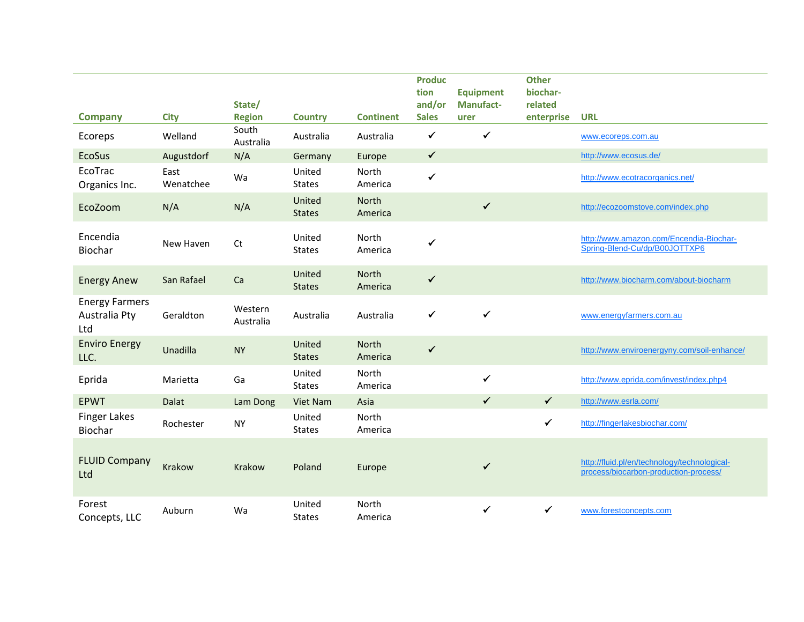| <b>Company</b>                                | <b>City</b>       | State/<br><b>Region</b> | <b>Country</b>          | <b>Continent</b>        | <b>Produc</b><br>tion<br>and/or<br><b>Sales</b> | <b>Equipment</b><br><b>Manufact-</b><br>urer | <b>Other</b><br>biochar-<br>related<br>enterprise | <b>URL</b>                                                                            |
|-----------------------------------------------|-------------------|-------------------------|-------------------------|-------------------------|-------------------------------------------------|----------------------------------------------|---------------------------------------------------|---------------------------------------------------------------------------------------|
| Ecoreps                                       | Welland           | South<br>Australia      | Australia               | Australia               | $\checkmark$                                    | $\checkmark$                                 |                                                   | www.ecoreps.com.au                                                                    |
| <b>EcoSus</b>                                 | Augustdorf        | N/A                     | Germany                 | Europe                  | $\checkmark$                                    |                                              |                                                   | http://www.ecosus.de/                                                                 |
| EcoTrac<br>Organics Inc.                      | East<br>Wenatchee | Wa                      | United<br><b>States</b> | North<br>America        | $\checkmark$                                    |                                              |                                                   | http://www.ecotracorganics.net/                                                       |
| EcoZoom                                       | N/A               | N/A                     | United<br><b>States</b> | North<br>America        |                                                 | $\checkmark$                                 |                                                   | http://ecozoomstove.com/index.php                                                     |
| Encendia<br>Biochar                           | New Haven         | Ct                      | United<br><b>States</b> | North<br>America        | $\checkmark$                                    |                                              |                                                   | http://www.amazon.com/Encendia-Biochar-<br>Spring-Blend-Cu/dp/B00JOTTXP6              |
| <b>Energy Anew</b>                            | San Rafael        | Ca                      | United<br><b>States</b> | <b>North</b><br>America | $\checkmark$                                    |                                              |                                                   | http://www.biocharm.com/about-biocharm                                                |
| <b>Energy Farmers</b><br>Australia Pty<br>Ltd | Geraldton         | Western<br>Australia    | Australia               | Australia               | $\checkmark$                                    | ✔                                            |                                                   | www.energyfarmers.com.au                                                              |
| <b>Enviro Energy</b><br>LLC.                  | Unadilla          | <b>NY</b>               | United<br><b>States</b> | North<br>America        | $\checkmark$                                    |                                              |                                                   | http://www.enviroenergyny.com/soil-enhance/                                           |
| Eprida                                        | Marietta          | Ga                      | United<br><b>States</b> | North<br>America        |                                                 | $\checkmark$                                 |                                                   | http://www.eprida.com/invest/index.php4                                               |
| <b>EPWT</b>                                   | Dalat             | Lam Dong                | Viet Nam                | Asia                    |                                                 | $\checkmark$                                 | $\checkmark$                                      | http://www.esrla.com/                                                                 |
| <b>Finger Lakes</b><br>Biochar                | Rochester         | <b>NY</b>               | United<br><b>States</b> | North<br>America        |                                                 |                                              | $\checkmark$                                      | http://fingerlakesbiochar.com/                                                        |
| <b>FLUID Company</b><br>Ltd                   | Krakow            | <b>Krakow</b>           | Poland                  | Europe                  |                                                 | $\checkmark$                                 |                                                   | http://fluid.pl/en/technology/technological-<br>process/biocarbon-production-process/ |
| Forest<br>Concepts, LLC                       | Auburn            | Wa                      | United<br><b>States</b> | North<br>America        |                                                 | $\checkmark$                                 | $\checkmark$                                      | www.forestconcepts.com                                                                |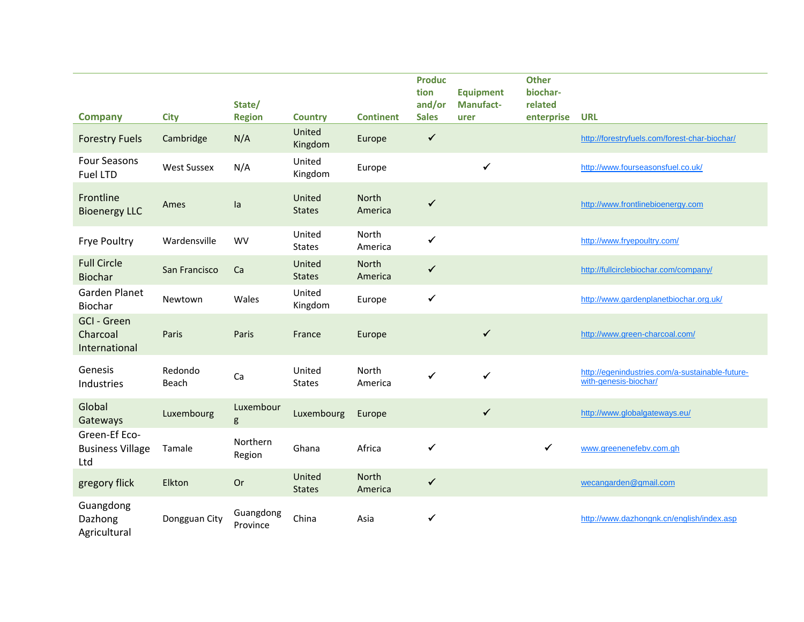| <b>Company</b>                                  | <b>City</b>        | State/<br><b>Region</b> | <b>Country</b>          | <b>Continent</b>        | <b>Produc</b><br>tion<br>and/or<br><b>Sales</b> | <b>Equipment</b><br>Manufact-<br>urer | <b>Other</b><br>biochar-<br>related<br>enterprise | <b>URL</b>                                                               |
|-------------------------------------------------|--------------------|-------------------------|-------------------------|-------------------------|-------------------------------------------------|---------------------------------------|---------------------------------------------------|--------------------------------------------------------------------------|
| <b>Forestry Fuels</b>                           | Cambridge          | N/A                     | United<br>Kingdom       | Europe                  | $\checkmark$                                    |                                       |                                                   | http://forestryfuels.com/forest-char-biochar/                            |
| <b>Four Seasons</b><br><b>Fuel LTD</b>          | <b>West Sussex</b> | N/A                     | United<br>Kingdom       | Europe                  |                                                 | $\checkmark$                          |                                                   | http://www.fourseasonsfuel.co.uk/                                        |
| Frontline<br><b>Bioenergy LLC</b>               | Ames               | la                      | United<br><b>States</b> | <b>North</b><br>America | $\checkmark$                                    |                                       |                                                   | http://www.frontlinebioenergy.com                                        |
| Frye Poultry                                    | Wardensville       | <b>WV</b>               | United<br><b>States</b> | North<br>America        | $\checkmark$                                    |                                       |                                                   | http://www.fryepoultry.com/                                              |
| <b>Full Circle</b><br><b>Biochar</b>            | San Francisco      | Ca                      | United<br><b>States</b> | <b>North</b><br>America | $\checkmark$                                    |                                       |                                                   | http://fullcirclebiochar.com/company/                                    |
| <b>Garden Planet</b><br>Biochar                 | Newtown            | Wales                   | United<br>Kingdom       | Europe                  | $\checkmark$                                    |                                       |                                                   | http://www.gardenplanetbiochar.org.uk/                                   |
| <b>GCI - Green</b><br>Charcoal<br>International | Paris              | Paris                   | France                  | Europe                  |                                                 | $\checkmark$                          |                                                   | http://www.green-charcoal.com/                                           |
| Genesis<br>Industries                           | Redondo<br>Beach   | Ca                      | United<br><b>States</b> | North<br>America        | $\checkmark$                                    | $\checkmark$                          |                                                   | http://egenindustries.com/a-sustainable-future-<br>with-genesis-biochar/ |
| Global<br>Gateways                              | Luxembourg         | Luxembour<br>g          | Luxembourg              | Europe                  |                                                 | $\checkmark$                          |                                                   | http://www.globalgateways.eu/                                            |
| Green-Ef Eco-<br><b>Business Village</b><br>Ltd | Tamale             | Northern<br>Region      | Ghana                   | Africa                  | ✓                                               |                                       | $\checkmark$                                      | www.greenenefebv.com.gh                                                  |
| gregory flick                                   | Elkton             | Or                      | United<br><b>States</b> | <b>North</b><br>America | $\checkmark$                                    |                                       |                                                   | wecangarden@gmail.com                                                    |
| Guangdong<br>Dazhong<br>Agricultural            | Dongguan City      | Guangdong<br>Province   | China                   | Asia                    | $\checkmark$                                    |                                       |                                                   | http://www.dazhongnk.cn/english/index.asp                                |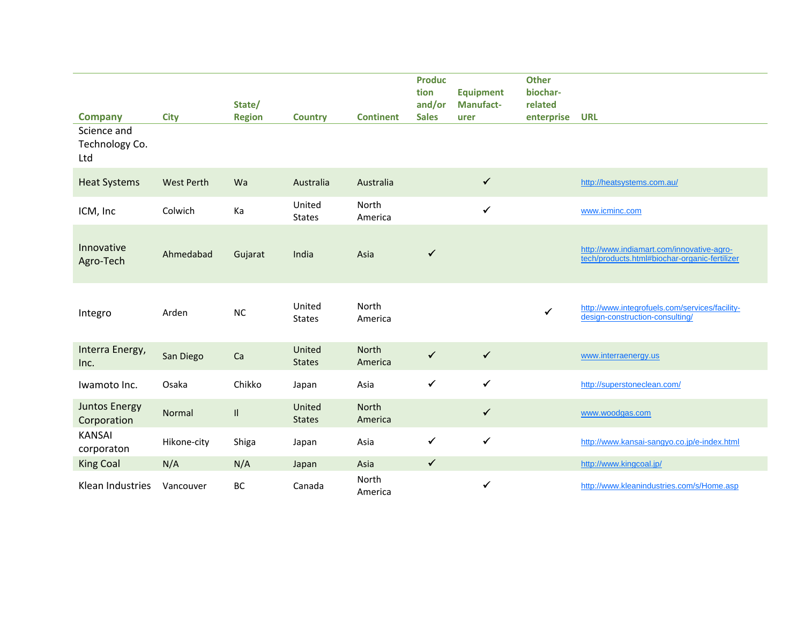| <b>Company</b>                       | <b>City</b>       | State/<br><b>Region</b> | <b>Country</b>          | <b>Continent</b> | <b>Produc</b><br>tion<br>and/or<br><b>Sales</b> | <b>Equipment</b><br><b>Manufact-</b><br>urer | <b>Other</b><br>biochar-<br>related<br>enterprise | <b>URL</b>                                                                                 |
|--------------------------------------|-------------------|-------------------------|-------------------------|------------------|-------------------------------------------------|----------------------------------------------|---------------------------------------------------|--------------------------------------------------------------------------------------------|
| Science and<br>Technology Co.<br>Ltd |                   |                         |                         |                  |                                                 |                                              |                                                   |                                                                                            |
| <b>Heat Systems</b>                  | <b>West Perth</b> | Wa                      | Australia               | Australia        |                                                 | $\checkmark$                                 |                                                   | http://heatsystems.com.au/                                                                 |
| ICM, Inc                             | Colwich           | Ka                      | United<br><b>States</b> | North<br>America |                                                 | $\checkmark$                                 |                                                   | www.icminc.com                                                                             |
| Innovative<br>Agro-Tech              | Ahmedabad         | Gujarat                 | India                   | Asia             | $\checkmark$                                    |                                              |                                                   | http://www.indiamart.com/innovative-agro-<br>tech/products.html#biochar-organic-fertilizer |
| Integro                              | Arden             | <b>NC</b>               | United<br><b>States</b> | North<br>America |                                                 |                                              | $\checkmark$                                      | http://www.integrofuels.com/services/facility-<br>design-construction-consulting/          |
| Interra Energy,<br>Inc.              | San Diego         | Ca                      | United<br><b>States</b> | North<br>America | $\checkmark$                                    | $\checkmark$                                 |                                                   | www.interraenergy.us                                                                       |
| Iwamoto Inc.                         | Osaka             | Chikko                  | Japan                   | Asia             | $\checkmark$                                    | $\checkmark$                                 |                                                   | http://superstoneclean.com/                                                                |
| <b>Juntos Energy</b><br>Corporation  | Normal            | $\mathbf{I}$            | United<br><b>States</b> | North<br>America |                                                 | $\checkmark$                                 |                                                   | www.woodgas.com                                                                            |
| <b>KANSAI</b><br>corporaton          | Hikone-city       | Shiga                   | Japan                   | Asia             | $\checkmark$                                    | $\checkmark$                                 |                                                   | http://www.kansai-sangyo.co.jp/e-index.html                                                |
| <b>King Coal</b>                     | N/A               | N/A                     | Japan                   | Asia             | $\checkmark$                                    |                                              |                                                   | http://www.kingcoal.jp/                                                                    |
| Klean Industries                     | Vancouver         | BC                      | Canada                  | North<br>America |                                                 | $\checkmark$                                 |                                                   | http://www.kleanindustries.com/s/Home.asp                                                  |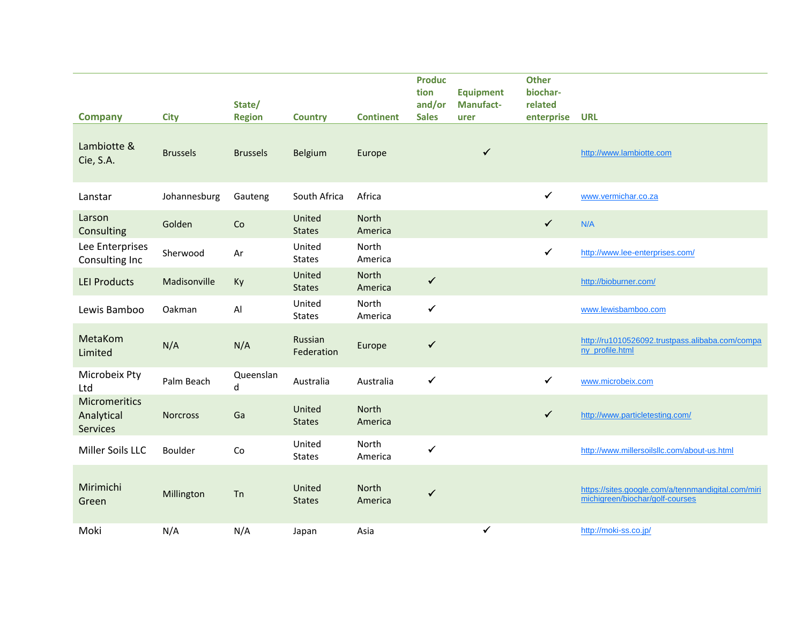| <b>Company</b>                                 | <b>City</b>     | State/<br><b>Region</b> | <b>Country</b>          | <b>Continent</b> | <b>Produc</b><br>tion<br>and/or<br><b>Sales</b> | <b>Equipment</b><br><b>Manufact-</b><br>urer | <b>Other</b><br>biochar-<br>related<br>enterprise | <b>URL</b>                                                                            |
|------------------------------------------------|-----------------|-------------------------|-------------------------|------------------|-------------------------------------------------|----------------------------------------------|---------------------------------------------------|---------------------------------------------------------------------------------------|
| Lambiotte &<br>Cie, S.A.                       | <b>Brussels</b> | <b>Brussels</b>         | Belgium                 | Europe           |                                                 | $\checkmark$                                 |                                                   | http://www.lambiotte.com                                                              |
| Lanstar                                        | Johannesburg    | Gauteng                 | South Africa            | Africa           |                                                 |                                              | $\checkmark$                                      | www.vermichar.co.za                                                                   |
| Larson<br>Consulting                           | Golden          | Co                      | United<br><b>States</b> | North<br>America |                                                 |                                              | $\checkmark$                                      | N/A                                                                                   |
| Lee Enterprises<br>Consulting Inc              | Sherwood        | Ar                      | United<br><b>States</b> | North<br>America |                                                 |                                              | $\checkmark$                                      | http://www.lee-enterprises.com/                                                       |
| <b>LEI Products</b>                            | Madisonville    | Ky                      | United<br><b>States</b> | North<br>America | $\checkmark$                                    |                                              |                                                   | http://bioburner.com/                                                                 |
| Lewis Bamboo                                   | Oakman          | Al                      | United<br><b>States</b> | North<br>America | $\checkmark$                                    |                                              |                                                   | www.lewisbamboo.com                                                                   |
| MetaKom<br>Limited                             | N/A             | N/A                     | Russian<br>Federation   | Europe           | $\checkmark$                                    |                                              |                                                   | http://ru1010526092.trustpass.alibaba.com/compa<br>ny profile.html                    |
| Microbeix Pty<br>Ltd                           | Palm Beach      | Queenslan<br>d          | Australia               | Australia        | ✔                                               |                                              | $\checkmark$                                      | www.microbeix.com                                                                     |
| <b>Micromeritics</b><br>Analytical<br>Services | <b>Norcross</b> | Ga                      | United<br><b>States</b> | North<br>America |                                                 |                                              | $\checkmark$                                      | http://www.particletesting.com/                                                       |
| Miller Soils LLC                               | Boulder         | Co                      | United<br><b>States</b> | North<br>America | $\checkmark$                                    |                                              |                                                   | http://www.millersoilsllc.com/about-us.html                                           |
| Mirimichi<br>Green                             | Millington      | Tn                      | United<br><b>States</b> | North<br>America | ✓                                               |                                              |                                                   | https://sites.google.com/a/tennmandigital.com/miri<br>michigreen/biochar/golf-courses |
| Moki                                           | N/A             | N/A                     | Japan                   | Asia             |                                                 | $\checkmark$                                 |                                                   | http://moki-ss.co.jp/                                                                 |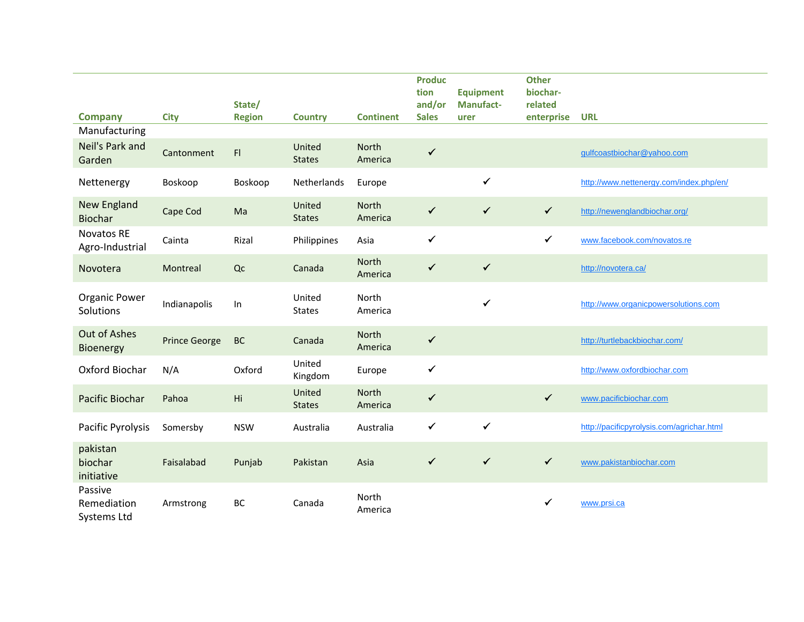| <b>Company</b>                        | <b>City</b>          | State/<br><b>Region</b> | <b>Country</b>          | <b>Continent</b>        | <b>Produc</b><br>tion<br>and/or<br><b>Sales</b> | <b>Equipment</b><br><b>Manufact-</b><br>urer | <b>Other</b><br>biochar-<br>related<br>enterprise | <b>URL</b>                                |
|---------------------------------------|----------------------|-------------------------|-------------------------|-------------------------|-------------------------------------------------|----------------------------------------------|---------------------------------------------------|-------------------------------------------|
| Manufacturing                         |                      |                         |                         |                         |                                                 |                                              |                                                   |                                           |
| Neil's Park and<br>Garden             | Cantonment           | F1                      | United<br><b>States</b> | North<br>America        | $\checkmark$                                    |                                              |                                                   | gulfcoastbiochar@yahoo.com                |
| Nettenergy                            | Boskoop              | Boskoop                 | Netherlands             | Europe                  |                                                 | $\checkmark$                                 |                                                   | http://www.nettenergy.com/index.php/en/   |
| <b>New England</b><br><b>Biochar</b>  | Cape Cod             | Ma                      | United<br><b>States</b> | <b>North</b><br>America | $\checkmark$                                    | $\checkmark$                                 | $\checkmark$                                      | http://newenglandbiochar.org/             |
| <b>Novatos RE</b><br>Agro-Industrial  | Cainta               | Rizal                   | Philippines             | Asia                    | $\checkmark$                                    |                                              | $\checkmark$                                      | www.facebook.com/novatos.re               |
| Novotera                              | Montreal             | Q <sub>C</sub>          | Canada                  | North<br>America        | $\checkmark$                                    | $\checkmark$                                 |                                                   | http://novotera.ca/                       |
| <b>Organic Power</b><br>Solutions     | Indianapolis         | ln                      | United<br><b>States</b> | North<br>America        |                                                 | $\checkmark$                                 |                                                   | http://www.organicpowersolutions.com      |
| Out of Ashes<br>Bioenergy             | <b>Prince George</b> | <b>BC</b>               | Canada                  | North<br>America        | $\checkmark$                                    |                                              |                                                   | http://turtlebackbiochar.com/             |
| Oxford Biochar                        | N/A                  | Oxford                  | United<br>Kingdom       | Europe                  | $\checkmark$                                    |                                              |                                                   | http://www.oxfordbiochar.com              |
| Pacific Biochar                       | Pahoa                | Hi                      | United<br><b>States</b> | North<br>America        | $\checkmark$                                    |                                              | $\checkmark$                                      | www.pacificbiochar.com                    |
| Pacific Pyrolysis                     | Somersby             | <b>NSW</b>              | Australia               | Australia               | $\checkmark$                                    | $\checkmark$                                 |                                                   | http://pacificpyrolysis.com/agrichar.html |
| pakistan<br>biochar<br>initiative     | Faisalabad           | Punjab                  | Pakistan                | Asia                    | $\checkmark$                                    | $\checkmark$                                 | $\checkmark$                                      | www.pakistanbiochar.com                   |
| Passive<br>Remediation<br>Systems Ltd | Armstrong            | BC                      | Canada                  | North<br>America        |                                                 |                                              | ✓                                                 | www.prsi.ca                               |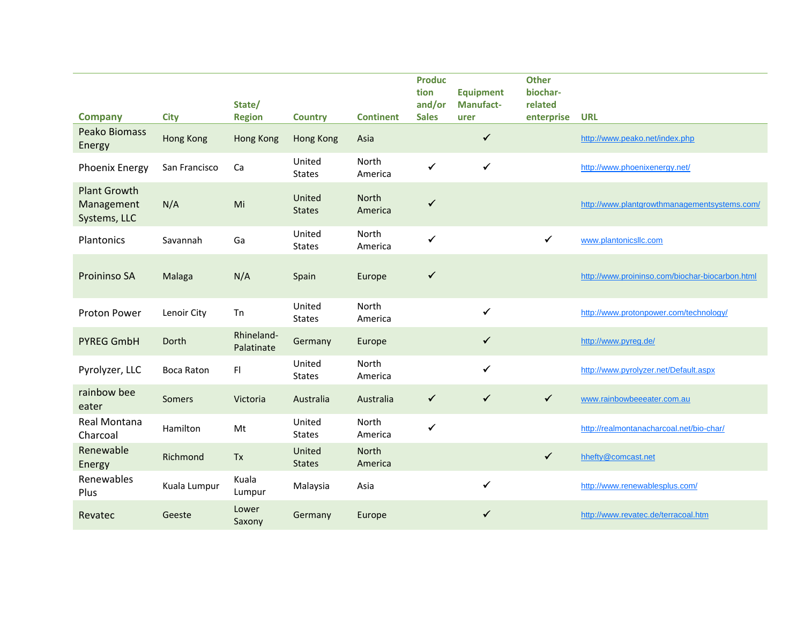| <b>Company</b>                                    | <b>City</b>       | State/<br><b>Region</b>  | <b>Country</b>          | <b>Continent</b> | <b>Produc</b><br>tion<br>and/or<br><b>Sales</b> | <b>Equipment</b><br><b>Manufact-</b><br>urer | <b>Other</b><br>biochar-<br>related<br>enterprise | <b>URL</b>                                      |
|---------------------------------------------------|-------------------|--------------------------|-------------------------|------------------|-------------------------------------------------|----------------------------------------------|---------------------------------------------------|-------------------------------------------------|
| <b>Peako Biomass</b><br>Energy                    | <b>Hong Kong</b>  | <b>Hong Kong</b>         | <b>Hong Kong</b>        | Asia             |                                                 | $\checkmark$                                 |                                                   | http://www.peako.net/index.php                  |
| Phoenix Energy                                    | San Francisco     | Ca                       | United<br><b>States</b> | North<br>America | $\checkmark$                                    | $\checkmark$                                 |                                                   | http://www.phoenixenergy.net/                   |
| <b>Plant Growth</b><br>Management<br>Systems, LLC | N/A               | Mi                       | United<br><b>States</b> | North<br>America | ✓                                               |                                              |                                                   | http://www.plantgrowthmanagementsystems.com/    |
| Plantonics                                        | Savannah          | Ga                       | United<br><b>States</b> | North<br>America | $\checkmark$                                    |                                              | $\checkmark$                                      | www.plantonicsllc.com                           |
| Proininso SA                                      | Malaga            | N/A                      | Spain                   | Europe           | ✓                                               |                                              |                                                   | http://www.proininso.com/biochar-biocarbon.html |
| <b>Proton Power</b>                               | Lenoir City       | Tn                       | United<br><b>States</b> | North<br>America |                                                 | $\checkmark$                                 |                                                   | http://www.protonpower.com/technology/          |
| <b>PYREG GmbH</b>                                 | Dorth             | Rhineland-<br>Palatinate | Germany                 | Europe           |                                                 | $\checkmark$                                 |                                                   | http://www.pyreg.de/                            |
| Pyrolyzer, LLC                                    | <b>Boca Raton</b> | F                        | United<br><b>States</b> | North<br>America |                                                 | $\checkmark$                                 |                                                   | http://www.pyrolyzer.net/Default.aspx           |
| rainbow bee<br>eater                              | Somers            | Victoria                 | Australia               | Australia        | $\checkmark$                                    | $\checkmark$                                 | $\checkmark$                                      | www.rainbowbeeeater.com.au                      |
| Real Montana<br>Charcoal                          | Hamilton          | Mt                       | United<br><b>States</b> | North<br>America | $\checkmark$                                    |                                              |                                                   | http://realmontanacharcoal.net/bio-char/        |
| Renewable<br>Energy                               | Richmond          | Tx                       | United<br><b>States</b> | North<br>America |                                                 |                                              | $\checkmark$                                      | hhefty@comcast.net                              |
| Renewables<br>Plus                                | Kuala Lumpur      | Kuala<br>Lumpur          | Malaysia                | Asia             |                                                 | $\checkmark$                                 |                                                   | http://www.renewablesplus.com/                  |
| Revatec                                           | Geeste            | Lower<br>Saxony          | Germany                 | Europe           |                                                 | $\checkmark$                                 |                                                   | http://www.revatec.de/terracoal.htm             |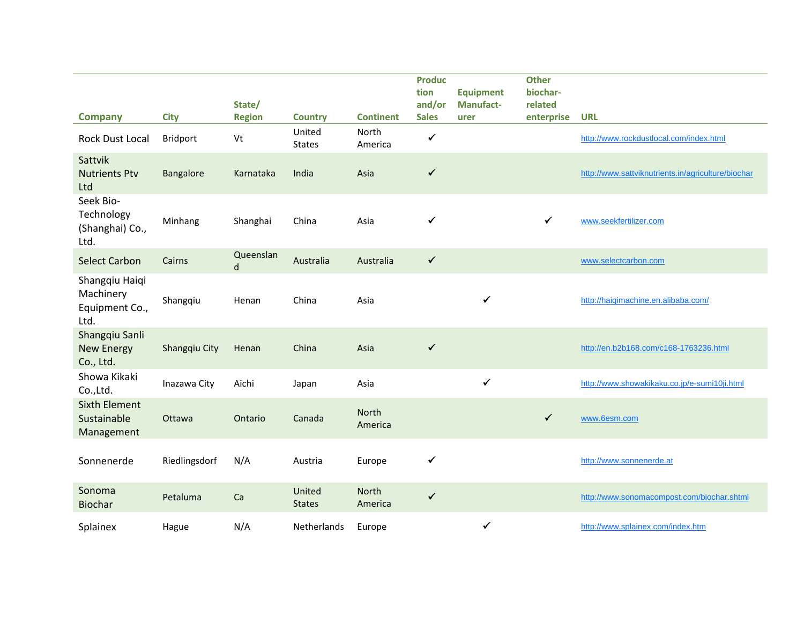|                                                       |               | State/         | <b>Country</b>          | <b>Continent</b>        | <b>Produc</b><br>tion<br>and/or<br><b>Sales</b> | <b>Equipment</b><br>Manufact- | <b>Other</b><br>biochar-<br>related | <b>URL</b>                                         |
|-------------------------------------------------------|---------------|----------------|-------------------------|-------------------------|-------------------------------------------------|-------------------------------|-------------------------------------|----------------------------------------------------|
| <b>Company</b>                                        | <b>City</b>   | <b>Region</b>  |                         |                         |                                                 | urer                          | enterprise                          |                                                    |
| Rock Dust Local                                       | Bridport      | Vt             | United<br><b>States</b> | North<br>America        | $\checkmark$                                    |                               |                                     | http://www.rockdustlocal.com/index.html            |
| Sattvik<br><b>Nutrients Ptv</b><br>Ltd                | Bangalore     | Karnataka      | India                   | Asia                    | $\checkmark$                                    |                               |                                     | http://www.sattviknutrients.in/agriculture/biochar |
| Seek Bio-<br>Technology<br>(Shanghai) Co.,<br>Ltd.    | Minhang       | Shanghai       | China                   | Asia                    | ✓                                               |                               | ✓                                   | www.seekfertilizer.com                             |
| <b>Select Carbon</b>                                  | Cairns        | Queenslan<br>d | Australia               | Australia               | $\checkmark$                                    |                               |                                     | www.selectcarbon.com                               |
| Shangqiu Haiqi<br>Machinery<br>Equipment Co.,<br>Ltd. | Shangqiu      | Henan          | China                   | Asia                    |                                                 | ✓                             |                                     | http://haiqimachine.en.alibaba.com/                |
| Shangqiu Sanli<br><b>New Energy</b><br>Co., Ltd.      | Shangqiu City | Henan          | China                   | Asia                    | $\checkmark$                                    |                               |                                     | http://en.b2b168.com/c168-1763236.html             |
| Showa Kikaki<br>Co.,Ltd.                              | Inazawa City  | Aichi          | Japan                   | Asia                    |                                                 | $\checkmark$                  |                                     | http://www.showakikaku.co.jp/e-sumi10ji.html       |
| <b>Sixth Element</b><br>Sustainable<br>Management     | Ottawa        | Ontario        | Canada                  | <b>North</b><br>America |                                                 |                               | $\checkmark$                        | www.6esm.com                                       |
| Sonnenerde                                            | Riedlingsdorf | N/A            | Austria                 | Europe                  | $\checkmark$                                    |                               |                                     | http://www.sonnenerde.at                           |
| Sonoma<br><b>Biochar</b>                              | Petaluma      | Ca             | United<br><b>States</b> | North<br>America        | $\checkmark$                                    |                               |                                     | http://www.sonomacompost.com/biochar.shtml         |
| Splainex                                              | Hague         | N/A            | <b>Netherlands</b>      | Europe                  |                                                 | ✓                             |                                     | http://www.splainex.com/index.htm                  |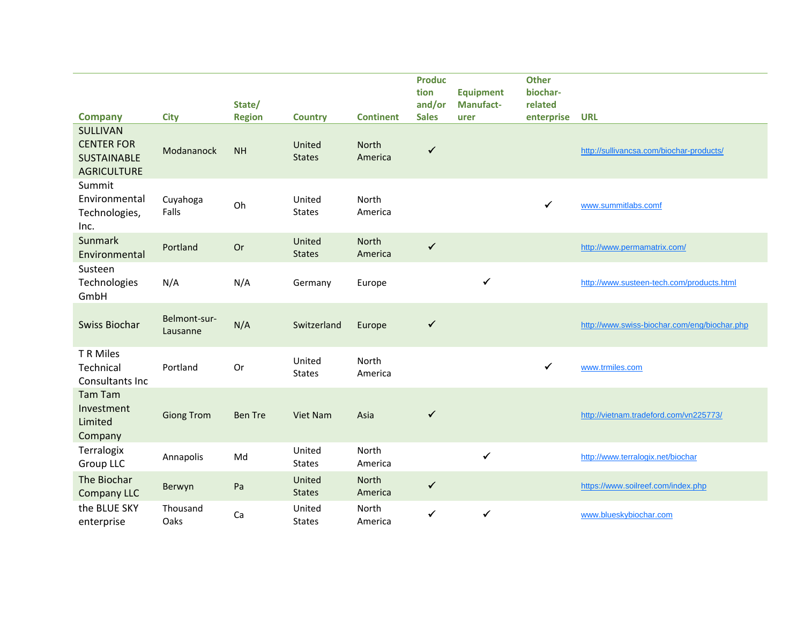|                                                               |                          |                         |                         |                         | <b>Produc</b>          |                          | <b>Other</b>          |                                              |
|---------------------------------------------------------------|--------------------------|-------------------------|-------------------------|-------------------------|------------------------|--------------------------|-----------------------|----------------------------------------------|
|                                                               |                          |                         |                         |                         | tion                   | <b>Equipment</b>         | biochar-              |                                              |
| <b>Company</b>                                                | <b>City</b>              | State/<br><b>Region</b> | <b>Country</b>          | <b>Continent</b>        | and/or<br><b>Sales</b> | <b>Manufact-</b><br>urer | related<br>enterprise | <b>URL</b>                                   |
| SULLIVAN                                                      |                          |                         |                         |                         |                        |                          |                       |                                              |
| <b>CENTER FOR</b><br><b>SUSTAINABLE</b><br><b>AGRICULTURE</b> | Modananock               | <b>NH</b>               | United<br><b>States</b> | <b>North</b><br>America | $\checkmark$           |                          |                       | http://sullivancsa.com/biochar-products/     |
| Summit<br>Environmental<br>Technologies,<br>Inc.              | Cuyahoga<br>Falls        | Oh                      | United<br><b>States</b> | North<br>America        |                        |                          | $\checkmark$          | www.summitlabs.comf                          |
| <b>Sunmark</b><br>Environmental                               | Portland                 | Or                      | United<br><b>States</b> | <b>North</b><br>America | $\checkmark$           |                          |                       | http://www.permamatrix.com/                  |
| Susteen<br>Technologies<br>GmbH                               | N/A                      | N/A                     | Germany                 | Europe                  |                        | ✓                        |                       | http://www.susteen-tech.com/products.html    |
| <b>Swiss Biochar</b>                                          | Belmont-sur-<br>Lausanne | N/A                     | Switzerland             | Europe                  | $\checkmark$           |                          |                       | http://www.swiss-biochar.com/eng/biochar.php |
| T R Miles<br>Technical<br>Consultants Inc                     | Portland                 | Or                      | United<br><b>States</b> | North<br>America        |                        |                          | $\checkmark$          | www.trmiles.com                              |
| <b>Tam Tam</b><br>Investment<br>Limited<br>Company            | <b>Giong Trom</b>        | <b>Ben Tre</b>          | Viet Nam                | Asia                    | $\checkmark$           |                          |                       | http://vietnam.tradeford.com/vn225773/       |
| Terralogix<br><b>Group LLC</b>                                | Annapolis                | Md                      | United<br><b>States</b> | North<br>America        |                        | $\checkmark$             |                       | http://www.terralogix.net/biochar            |
| The Biochar<br><b>Company LLC</b>                             | Berwyn                   | Pa                      | United<br><b>States</b> | North<br>America        | $\checkmark$           |                          |                       | https://www.soilreef.com/index.php           |
| the BLUE SKY<br>enterprise                                    | Thousand<br>Oaks         | Ca                      | United<br><b>States</b> | North<br>America        | $\checkmark$           | ✓                        |                       | www.blueskybiochar.com                       |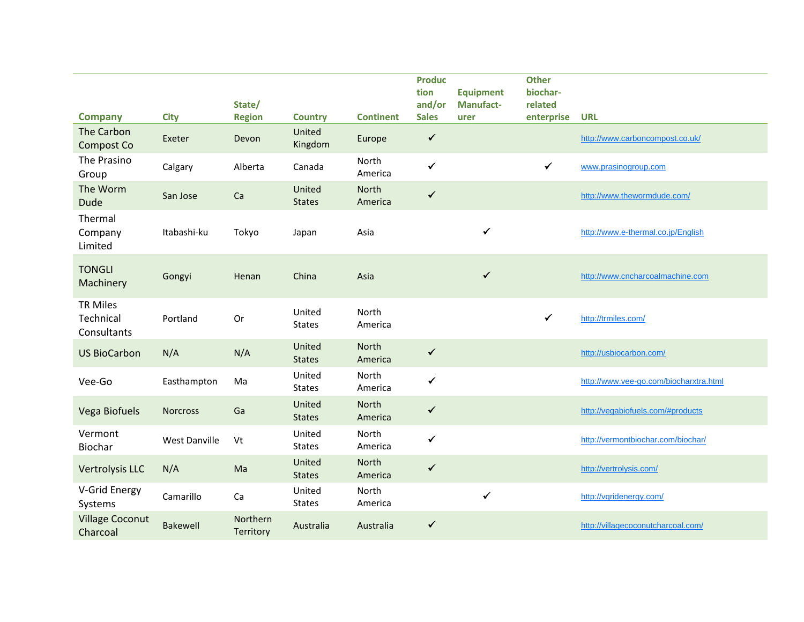| <b>Company</b>                              | <b>City</b>          | State/<br><b>Region</b> | <b>Country</b>          | <b>Continent</b> | <b>Produc</b><br>tion<br>and/or<br><b>Sales</b> | <b>Equipment</b><br><b>Manufact-</b><br>urer | <b>Other</b><br>biochar-<br>related<br>enterprise | <b>URL</b>                             |
|---------------------------------------------|----------------------|-------------------------|-------------------------|------------------|-------------------------------------------------|----------------------------------------------|---------------------------------------------------|----------------------------------------|
| The Carbon<br>Compost Co                    | Exeter               | Devon                   | United<br>Kingdom       | Europe           | $\checkmark$                                    |                                              |                                                   | http://www.carboncompost.co.uk/        |
| The Prasino<br>Group                        | Calgary              | Alberta                 | Canada                  | North<br>America | $\checkmark$                                    |                                              | $\checkmark$                                      | www.prasinogroup.com                   |
| The Worm<br><b>Dude</b>                     | San Jose             | Ca                      | United<br><b>States</b> | North<br>America | $\checkmark$                                    |                                              |                                                   | http://www.thewormdude.com/            |
| Thermal<br>Company<br>Limited               | Itabashi-ku          | Tokyo                   | Japan                   | Asia             |                                                 | $\checkmark$                                 |                                                   | http://www.e-thermal.co.jp/English     |
| <b>TONGLI</b><br>Machinery                  | Gongyi               | Henan                   | China                   | Asia             |                                                 | $\checkmark$                                 |                                                   | http://www.cncharcoalmachine.com       |
| <b>TR Miles</b><br>Technical<br>Consultants | Portland             | Or                      | United<br><b>States</b> | North<br>America |                                                 |                                              | $\checkmark$                                      | http://trmiles.com/                    |
| <b>US BioCarbon</b>                         | N/A                  | N/A                     | United<br><b>States</b> | North<br>America | $\checkmark$                                    |                                              |                                                   | http://usbiocarbon.com/                |
| Vee-Go                                      | Easthampton          | Ma                      | United<br><b>States</b> | North<br>America | $\checkmark$                                    |                                              |                                                   | http://www.vee-go.com/biocharxtra.html |
| Vega Biofuels                               | <b>Norcross</b>      | Ga                      | United<br><b>States</b> | North<br>America | $\checkmark$                                    |                                              |                                                   | http://vegabiofuels.com/#products      |
| Vermont<br>Biochar                          | <b>West Danville</b> | Vt                      | United<br><b>States</b> | North<br>America | $\checkmark$                                    |                                              |                                                   | http://vermontbiochar.com/biochar/     |
| Vertrolysis LLC                             | N/A                  | Ma                      | United<br><b>States</b> | North<br>America | $\checkmark$                                    |                                              |                                                   | http://vertrolysis.com/                |
| V-Grid Energy<br>Systems                    | Camarillo            | Ca                      | United<br><b>States</b> | North<br>America |                                                 | $\checkmark$                                 |                                                   | http://vgridenergy.com/                |
| <b>Village Coconut</b><br>Charcoal          | <b>Bakewell</b>      | Northern<br>Territory   | Australia               | Australia        | $\checkmark$                                    |                                              |                                                   | http://villagecoconutcharcoal.com/     |